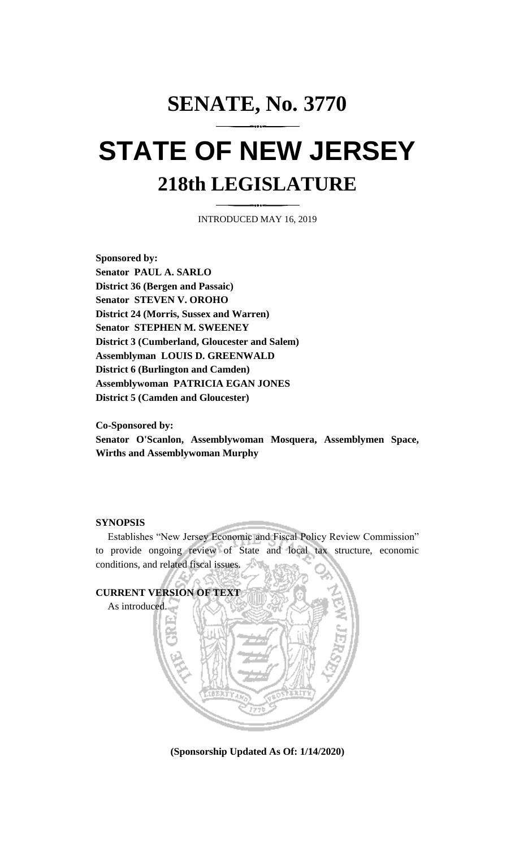# **SENATE, No. 3770 STATE OF NEW JERSEY 218th LEGISLATURE**

INTRODUCED MAY 16, 2019

**Sponsored by: Senator PAUL A. SARLO District 36 (Bergen and Passaic) Senator STEVEN V. OROHO District 24 (Morris, Sussex and Warren) Senator STEPHEN M. SWEENEY District 3 (Cumberland, Gloucester and Salem) Assemblyman LOUIS D. GREENWALD District 6 (Burlington and Camden) Assemblywoman PATRICIA EGAN JONES District 5 (Camden and Gloucester)**

**Co-Sponsored by:**

**Senator O'Scanlon, Assemblywoman Mosquera, Assemblymen Space, Wirths and Assemblywoman Murphy**

#### **SYNOPSIS**

Establishes "New Jersey Economic and Fiscal Policy Review Commission" to provide ongoing review of State and local tax structure, economic conditions, and related fiscal issues.



**(Sponsorship Updated As Of: 1/14/2020)**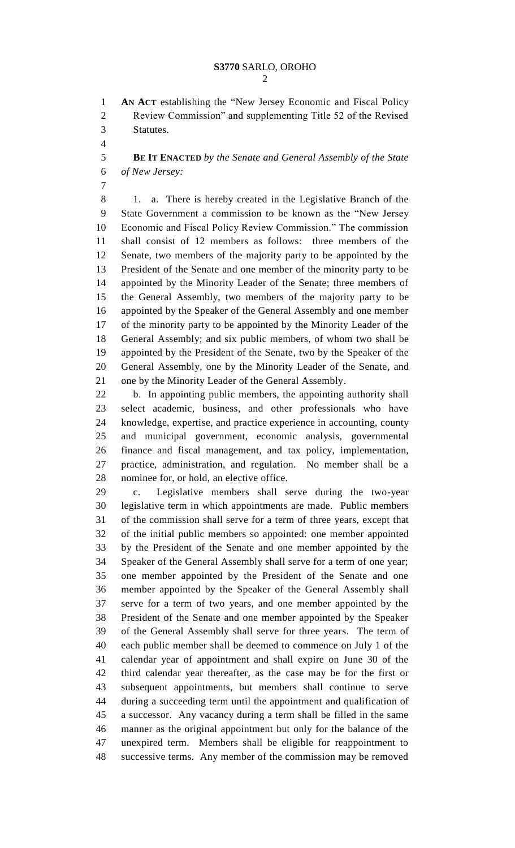**AN ACT** establishing the "New Jersey Economic and Fiscal Policy Review Commission" and supplementing Title 52 of the Revised Statutes.

 **BE IT ENACTED** *by the Senate and General Assembly of the State of New Jersey:*

 1. a. There is hereby created in the Legislative Branch of the State Government a commission to be known as the "New Jersey Economic and Fiscal Policy Review Commission." The commission shall consist of 12 members as follows: three members of the Senate, two members of the majority party to be appointed by the President of the Senate and one member of the minority party to be appointed by the Minority Leader of the Senate; three members of the General Assembly, two members of the majority party to be appointed by the Speaker of the General Assembly and one member of the minority party to be appointed by the Minority Leader of the General Assembly; and six public members, of whom two shall be appointed by the President of the Senate, two by the Speaker of the General Assembly, one by the Minority Leader of the Senate, and one by the Minority Leader of the General Assembly.

 b. In appointing public members, the appointing authority shall select academic, business, and other professionals who have knowledge, expertise, and practice experience in accounting, county and municipal government, economic analysis, governmental finance and fiscal management, and tax policy, implementation, practice, administration, and regulation. No member shall be a nominee for, or hold, an elective office.

 c. Legislative members shall serve during the two-year legislative term in which appointments are made. Public members of the commission shall serve for a term of three years, except that of the initial public members so appointed: one member appointed by the President of the Senate and one member appointed by the Speaker of the General Assembly shall serve for a term of one year; one member appointed by the President of the Senate and one member appointed by the Speaker of the General Assembly shall serve for a term of two years, and one member appointed by the President of the Senate and one member appointed by the Speaker of the General Assembly shall serve for three years. The term of each public member shall be deemed to commence on July 1 of the calendar year of appointment and shall expire on June 30 of the third calendar year thereafter, as the case may be for the first or subsequent appointments, but members shall continue to serve during a succeeding term until the appointment and qualification of a successor. Any vacancy during a term shall be filled in the same manner as the original appointment but only for the balance of the unexpired term. Members shall be eligible for reappointment to successive terms. Any member of the commission may be removed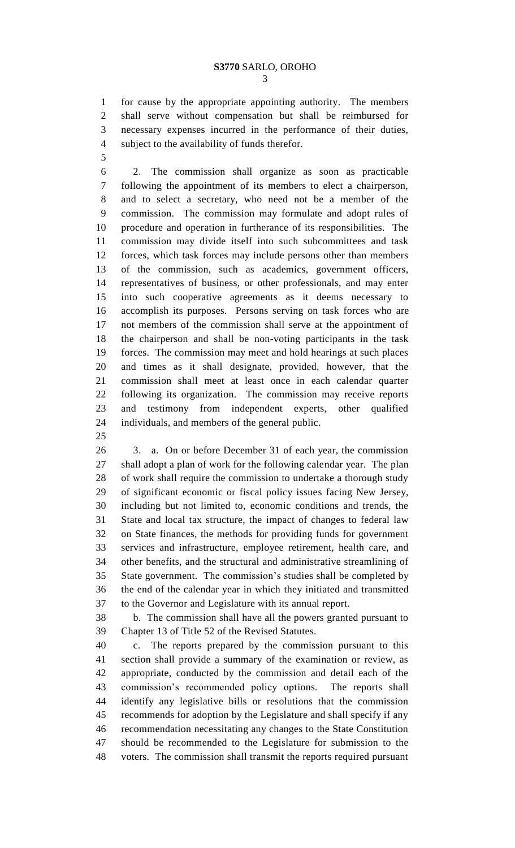for cause by the appropriate appointing authority. The members shall serve without compensation but shall be reimbursed for necessary expenses incurred in the performance of their duties, subject to the availability of funds therefor.

 2. The commission shall organize as soon as practicable following the appointment of its members to elect a chairperson, and to select a secretary, who need not be a member of the commission. The commission may formulate and adopt rules of procedure and operation in furtherance of its responsibilities. The commission may divide itself into such subcommittees and task forces, which task forces may include persons other than members of the commission, such as academics, government officers, representatives of business, or other professionals, and may enter into such cooperative agreements as it deems necessary to accomplish its purposes. Persons serving on task forces who are not members of the commission shall serve at the appointment of the chairperson and shall be non-voting participants in the task forces. The commission may meet and hold hearings at such places and times as it shall designate, provided, however, that the commission shall meet at least once in each calendar quarter following its organization. The commission may receive reports and testimony from independent experts, other qualified individuals, and members of the general public.

 3. a. On or before December 31 of each year, the commission shall adopt a plan of work for the following calendar year. The plan of work shall require the commission to undertake a thorough study of significant economic or fiscal policy issues facing New Jersey, including but not limited to, economic conditions and trends, the State and local tax structure, the impact of changes to federal law on State finances, the methods for providing funds for government services and infrastructure, employee retirement, health care, and other benefits, and the structural and administrative streamlining of State government. The commission's studies shall be completed by the end of the calendar year in which they initiated and transmitted to the Governor and Legislature with its annual report.

 b. The commission shall have all the powers granted pursuant to Chapter 13 of Title 52 of the Revised Statutes.

 c. The reports prepared by the commission pursuant to this section shall provide a summary of the examination or review, as appropriate, conducted by the commission and detail each of the commission's recommended policy options. The reports shall identify any legislative bills or resolutions that the commission recommends for adoption by the Legislature and shall specify if any recommendation necessitating any changes to the State Constitution should be recommended to the Legislature for submission to the voters. The commission shall transmit the reports required pursuant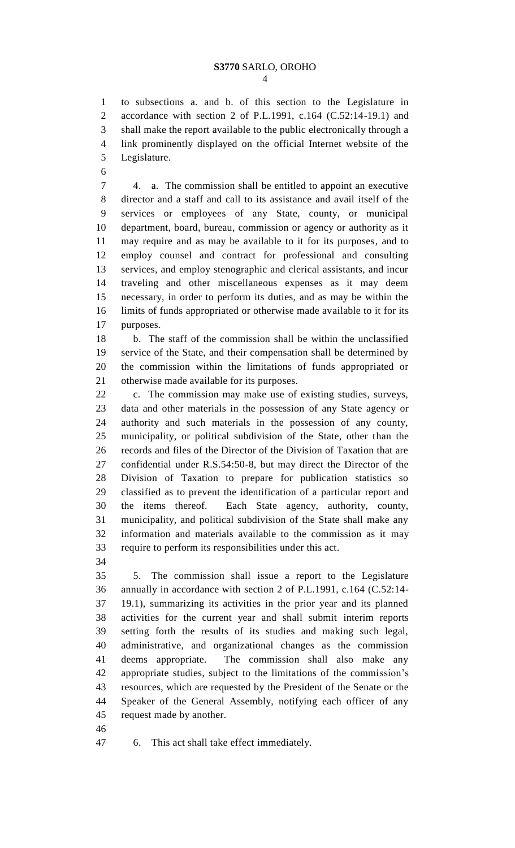#### **S3770** SARLO, OROHO  $\Delta$

 to subsections a. and b. of this section to the Legislature in accordance with section 2 of P.L.1991, c.164 (C.52:14-19.1) and shall make the report available to the public electronically through a link prominently displayed on the official Internet website of the Legislature.

 4. a. The commission shall be entitled to appoint an executive director and a staff and call to its assistance and avail itself of the services or employees of any State, county, or municipal department, board, bureau, commission or agency or authority as it may require and as may be available to it for its purposes, and to employ counsel and contract for professional and consulting services, and employ stenographic and clerical assistants, and incur traveling and other miscellaneous expenses as it may deem necessary, in order to perform its duties, and as may be within the limits of funds appropriated or otherwise made available to it for its purposes.

 b. The staff of the commission shall be within the unclassified service of the State, and their compensation shall be determined by the commission within the limitations of funds appropriated or otherwise made available for its purposes.

 c. The commission may make use of existing studies, surveys, data and other materials in the possession of any State agency or authority and such materials in the possession of any county, municipality, or political subdivision of the State, other than the records and files of the Director of the Division of Taxation that are confidential under R.S.54:50-8, but may direct the Director of the Division of Taxation to prepare for publication statistics so classified as to prevent the identification of a particular report and the items thereof. Each State agency, authority, county, municipality, and political subdivision of the State shall make any information and materials available to the commission as it may require to perform its responsibilities under this act.

 5. The commission shall issue a report to the Legislature annually in accordance with section 2 of P.L.1991, c.164 (C.52:14- 19.1), summarizing its activities in the prior year and its planned activities for the current year and shall submit interim reports setting forth the results of its studies and making such legal, administrative, and organizational changes as the commission deems appropriate. The commission shall also make any appropriate studies, subject to the limitations of the commission's resources, which are requested by the President of the Senate or the Speaker of the General Assembly, notifying each officer of any request made by another.

6. This act shall take effect immediately.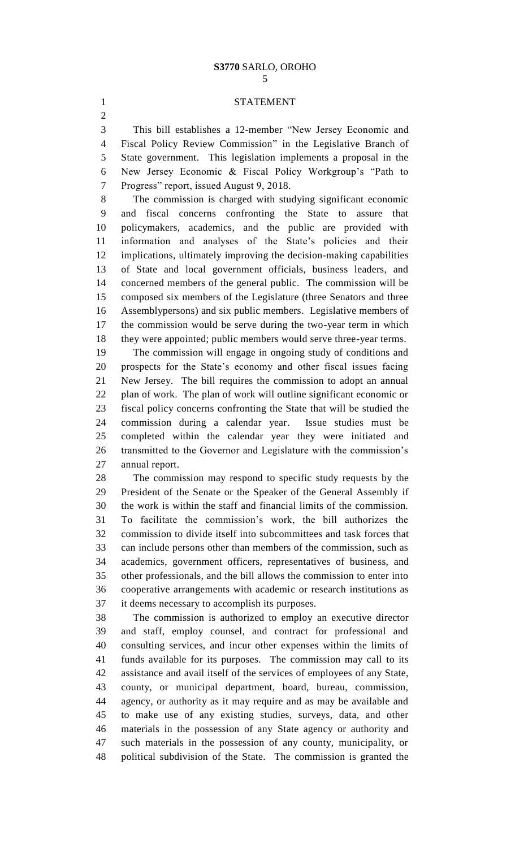### **S3770** SARLO, OROHO

## STATEMENT

 This bill establishes a 12-member "New Jersey Economic and Fiscal Policy Review Commission" in the Legislative Branch of State government. This legislation implements a proposal in the New Jersey Economic & Fiscal Policy Workgroup's "Path to Progress" report, issued August 9, 2018.

 The commission is charged with studying significant economic and fiscal concerns confronting the State to assure that policymakers, academics, and the public are provided with information and analyses of the State's policies and their implications, ultimately improving the decision-making capabilities of State and local government officials, business leaders, and concerned members of the general public. The commission will be composed six members of the Legislature (three Senators and three Assemblypersons) and six public members. Legislative members of the commission would be serve during the two-year term in which they were appointed; public members would serve three-year terms.

 The commission will engage in ongoing study of conditions and prospects for the State's economy and other fiscal issues facing New Jersey. The bill requires the commission to adopt an annual plan of work. The plan of work will outline significant economic or fiscal policy concerns confronting the State that will be studied the commission during a calendar year. Issue studies must be completed within the calendar year they were initiated and transmitted to the Governor and Legislature with the commission's annual report.

 The commission may respond to specific study requests by the President of the Senate or the Speaker of the General Assembly if the work is within the staff and financial limits of the commission. To facilitate the commission's work, the bill authorizes the commission to divide itself into subcommittees and task forces that can include persons other than members of the commission, such as academics, government officers, representatives of business, and other professionals, and the bill allows the commission to enter into cooperative arrangements with academic or research institutions as it deems necessary to accomplish its purposes.

 The commission is authorized to employ an executive director and staff, employ counsel, and contract for professional and consulting services, and incur other expenses within the limits of funds available for its purposes. The commission may call to its assistance and avail itself of the services of employees of any State, county, or municipal department, board, bureau, commission, agency, or authority as it may require and as may be available and to make use of any existing studies, surveys, data, and other materials in the possession of any State agency or authority and such materials in the possession of any county, municipality, or political subdivision of the State. The commission is granted the